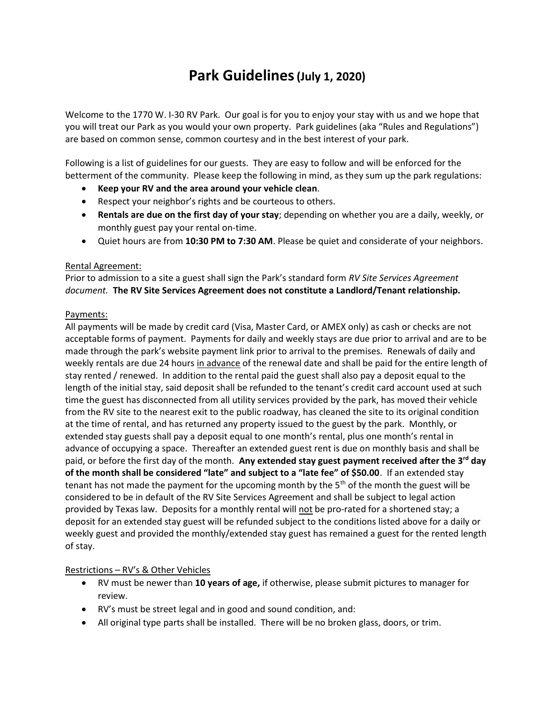# Park Guidelines (July 1, 2020)

Welcome to the 1770 W. I-30 RV Park. Our goal is for you to enjoy your stay with us and we hope that you will treat our Park as you would your own property. Park guidelines (aka "Rules and Regulations") are based on common sense, common courtesy and in the best interest of your park.

Following is a list of guidelines for our guests. They are easy to follow and will be enforced for the betterment of the community. Please keep the following in mind, as they sum up the park regulations:

- Keep your RV and the area around your vehicle clean.
- Respect your neighbor's rights and be courteous to others.
- Rentals are due on the first day of your stay; depending on whether you are a daily, weekly, or monthly guest pay your rental on-time.
- Quiet hours are from 10:30 PM to 7:30 AM. Please be quiet and considerate of your neighbors.

### Rental Agreement:

Prior to admission to a site a guest shall sign the Park's standard form RV Site Services Agreement document. The RV Site Services Agreement does not constitute a Landlord/Tenant relationship.

#### Payments:

All payments will be made by credit card (Visa, Master Card, or AMEX only) as cash or checks are not acceptable forms of payment. Payments for daily and weekly stays are due prior to arrival and are to be made through the park's website payment link prior to arrival to the premises. Renewals of daily and weekly rentals are due 24 hours in advance of the renewal date and shall be paid for the entire length of stay rented / renewed. In addition to the rental paid the guest shall also pay a deposit equal to the length of the initial stay, said deposit shall be refunded to the tenant's credit card account used at such time the guest has disconnected from all utility services provided by the park, has moved their vehicle from the RV site to the nearest exit to the public roadway, has cleaned the site to its original condition at the time of rental, and has returned any property issued to the guest by the park. Monthly, or extended stay guests shall pay a deposit equal to one month's rental, plus one month's rental in advance of occupying a space. Thereafter an extended guest rent is due on monthly basis and shall be paid, or before the first day of the month. Any extended stay guest payment received after the 3<sup>rd</sup> day of the month shall be considered "late" and subject to a "late fee" of \$50.00. If an extended stay tenant has not made the payment for the upcoming month by the  $5<sup>th</sup>$  of the month the guest will be considered to be in default of the RV Site Services Agreement and shall be subject to legal action provided by Texas law. Deposits for a monthly rental will not be pro-rated for a shortened stay; a deposit for an extended stay guest will be refunded subject to the conditions listed above for a daily or weekly guest and provided the monthly/extended stay guest has remained a guest for the rented length of stay.

### Restrictions – RV's & Other Vehicles

- RV must be newer than 10 years of age, if otherwise, please submit pictures to manager for review.
- RV's must be street legal and in good and sound condition, and:
- All original type parts shall be installed. There will be no broken glass, doors, or trim.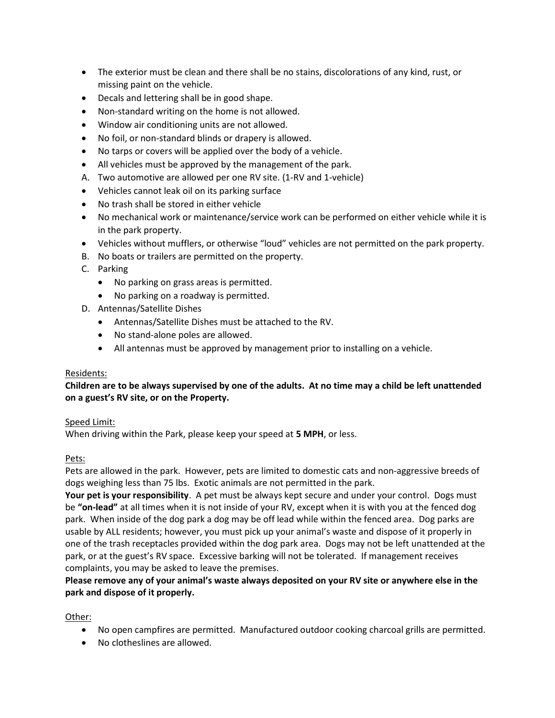- The exterior must be clean and there shall be no stains, discolorations of any kind, rust, or missing paint on the vehicle.
- Decals and lettering shall be in good shape.
- Non-standard writing on the home is not allowed.
- Window air conditioning units are not allowed.
- No foil, or non-standard blinds or drapery is allowed.
- No tarps or covers will be applied over the body of a vehicle.
- All vehicles must be approved by the management of the park.
- A. Two automotive are allowed per one RV site. (1-RV and 1-vehicle)
- Vehicles cannot leak oil on its parking surface
- No trash shall be stored in either vehicle
- No mechanical work or maintenance/service work can be performed on either vehicle while it is in the park property.
- Vehicles without mufflers, or otherwise "loud" vehicles are not permitted on the park property.
- B. No boats or trailers are permitted on the property.
- C. Parking
	- No parking on grass areas is permitted.
	- No parking on a roadway is permitted.
- D. Antennas/Satellite Dishes
	- Antennas/Satellite Dishes must be attached to the RV.
	- No stand-alone poles are allowed.
	- All antennas must be approved by management prior to installing on a vehicle.

### Residents:

## Children are to be always supervised by one of the adults. At no time may a child be left unattended on a guest's RV site, or on the Property.

### Speed Limit:

When driving within the Park, please keep your speed at 5 MPH, or less.

### Pets:

Pets are allowed in the park. However, pets are limited to domestic cats and non-aggressive breeds of dogs weighing less than 75 lbs. Exotic animals are not permitted in the park.

Your pet is your responsibility. A pet must be always kept secure and under your control. Dogs must be "on-lead" at all times when it is not inside of your RV, except when it is with you at the fenced dog park. When inside of the dog park a dog may be off lead while within the fenced area. Dog parks are usable by ALL residents; however, you must pick up your animal's waste and dispose of it properly in one of the trash receptacles provided within the dog park area. Dogs may not be left unattended at the park, or at the guest's RV space. Excessive barking will not be tolerated. If management receives complaints, you may be asked to leave the premises.

Please remove any of your animal's waste always deposited on your RV site or anywhere else in the park and dispose of it properly.

Other:

- No open campfires are permitted. Manufactured outdoor cooking charcoal grills are permitted.
- No clotheslines are allowed.